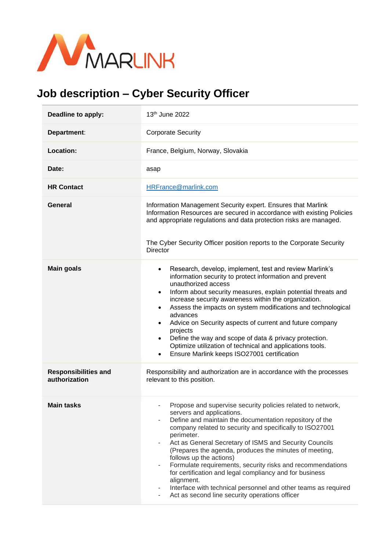

## **Job description – Cyber Security Officer**

| Deadline to apply:                           | 13 <sup>th</sup> June 2022                                                                                                                                                                                                                                                                                                                                                                                                                                                                                                                                                                                                                                                    |
|----------------------------------------------|-------------------------------------------------------------------------------------------------------------------------------------------------------------------------------------------------------------------------------------------------------------------------------------------------------------------------------------------------------------------------------------------------------------------------------------------------------------------------------------------------------------------------------------------------------------------------------------------------------------------------------------------------------------------------------|
| Department:                                  | <b>Corporate Security</b>                                                                                                                                                                                                                                                                                                                                                                                                                                                                                                                                                                                                                                                     |
| <b>Location:</b>                             | France, Belgium, Norway, Slovakia                                                                                                                                                                                                                                                                                                                                                                                                                                                                                                                                                                                                                                             |
| Date:                                        | asap                                                                                                                                                                                                                                                                                                                                                                                                                                                                                                                                                                                                                                                                          |
| <b>HR Contact</b>                            | HRFrance@marlink.com                                                                                                                                                                                                                                                                                                                                                                                                                                                                                                                                                                                                                                                          |
| General                                      | Information Management Security expert. Ensures that Marlink<br>Information Resources are secured in accordance with existing Policies<br>and appropriate regulations and data protection risks are managed.<br>The Cyber Security Officer position reports to the Corporate Security<br><b>Director</b>                                                                                                                                                                                                                                                                                                                                                                      |
| <b>Main goals</b>                            | Research, develop, implement, test and review Marlink's<br>$\bullet$<br>information security to protect information and prevent<br>unauthorized access<br>Inform about security measures, explain potential threats and<br>$\bullet$<br>increase security awareness within the organization.<br>Assess the impacts on system modifications and technological<br>advances<br>Advice on Security aspects of current and future company<br>projects<br>Define the way and scope of data & privacy protection.<br>Optimize utilization of technical and applications tools.<br>Ensure Marlink keeps ISO27001 certification                                                        |
| <b>Responsibilities and</b><br>authorization | Responsibility and authorization are in accordance with the processes<br>relevant to this position.                                                                                                                                                                                                                                                                                                                                                                                                                                                                                                                                                                           |
| <b>Main tasks</b>                            | Propose and supervise security policies related to network,<br>servers and applications.<br>Define and maintain the documentation repository of the<br>$\overline{\phantom{a}}$<br>company related to security and specifically to ISO27001<br>perimeter.<br>Act as General Secretary of ISMS and Security Councils<br>٠<br>(Prepares the agenda, produces the minutes of meeting,<br>follows up the actions)<br>Formulate requirements, security risks and recommendations<br>٠<br>for certification and legal compliancy and for business<br>alignment.<br>Interface with technical personnel and other teams as required<br>Act as second line security operations officer |